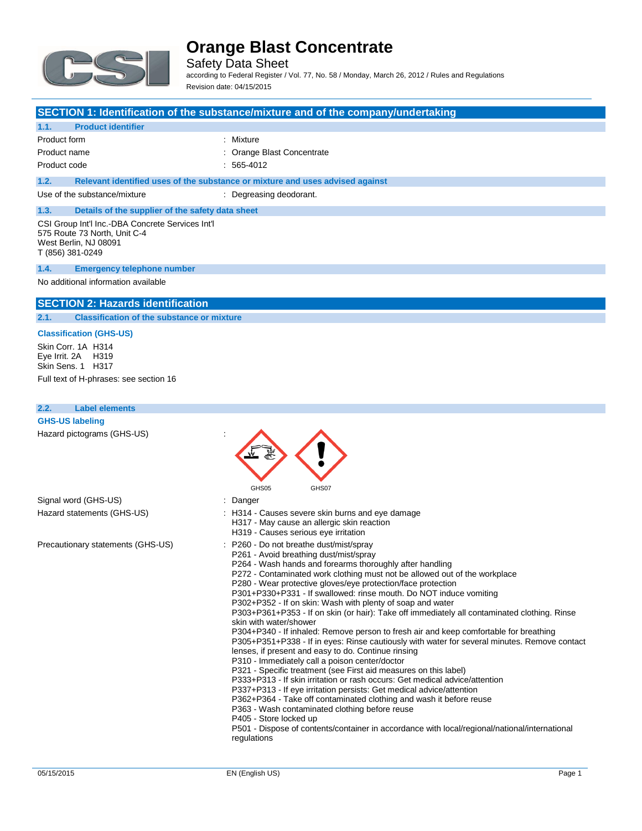

Safety Data Sheet according to Federal Register / Vol. 77, No. 58 / Monday, March 26, 2012 / Rules and Regulations Revision date: 04/15/2015

#### **SECTION 1: Identification of the substance/mixture and of the company/undertaking**

#### **1.1. Product identifier**

| Product form | : Mixture                  |
|--------------|----------------------------|
| Product name | : Orange Blast Concentrate |

Product code : 565-4012

**1.2. Relevant identified uses of the substance or mixture and uses advised against**

Use of the substance/mixture : Degreasing deodorant.

### **1.3. Details of the supplier of the safety data sheet**

CSI Group Int'l Inc.-DBA Concrete Services Int'l 575 Route 73 North, Unit C-4 West Berlin, NJ 08091 T (856) 381-0249

#### **1.4. Emergency telephone number**

#### No additional information available

#### **SECTION 2: Hazards identification**

**2.1. Classification of the substance or mixture**

#### **Classification (GHS-US)**

Skin Corr. 1A H314 Eye Irrit. 2A H319 Skin Sens. 1 H317

Full text of H-phrases: see section 16

| <b>Label elements</b><br>2.2.     |                                                                                                                                                                                                                                                                                                                                                                                                                                                                                                                                                                                                                                                                                                                                                                                                                                                                                                                                                                                                                                                                                                                                                                                                                                                                                                                                                           |
|-----------------------------------|-----------------------------------------------------------------------------------------------------------------------------------------------------------------------------------------------------------------------------------------------------------------------------------------------------------------------------------------------------------------------------------------------------------------------------------------------------------------------------------------------------------------------------------------------------------------------------------------------------------------------------------------------------------------------------------------------------------------------------------------------------------------------------------------------------------------------------------------------------------------------------------------------------------------------------------------------------------------------------------------------------------------------------------------------------------------------------------------------------------------------------------------------------------------------------------------------------------------------------------------------------------------------------------------------------------------------------------------------------------|
| <b>GHS-US labeling</b>            |                                                                                                                                                                                                                                                                                                                                                                                                                                                                                                                                                                                                                                                                                                                                                                                                                                                                                                                                                                                                                                                                                                                                                                                                                                                                                                                                                           |
| Hazard pictograms (GHS-US)        | GHS05<br>GHS07                                                                                                                                                                                                                                                                                                                                                                                                                                                                                                                                                                                                                                                                                                                                                                                                                                                                                                                                                                                                                                                                                                                                                                                                                                                                                                                                            |
| Signal word (GHS-US)              | Danger                                                                                                                                                                                                                                                                                                                                                                                                                                                                                                                                                                                                                                                                                                                                                                                                                                                                                                                                                                                                                                                                                                                                                                                                                                                                                                                                                    |
| Hazard statements (GHS-US)        | : H314 - Causes severe skin burns and eye damage<br>H317 - May cause an allergic skin reaction<br>H319 - Causes serious eye irritation                                                                                                                                                                                                                                                                                                                                                                                                                                                                                                                                                                                                                                                                                                                                                                                                                                                                                                                                                                                                                                                                                                                                                                                                                    |
| Precautionary statements (GHS-US) | : P260 - Do not breathe dust/mist/spray<br>P261 - Avoid breathing dust/mist/spray<br>P264 - Wash hands and forearms thoroughly after handling<br>P272 - Contaminated work clothing must not be allowed out of the workplace<br>P280 - Wear protective gloves/eye protection/face protection<br>P301+P330+P331 - If swallowed: rinse mouth. Do NOT induce vomiting<br>P302+P352 - If on skin: Wash with plenty of soap and water<br>P303+P361+P353 - If on skin (or hair): Take off immediately all contaminated clothing. Rinse<br>skin with water/shower<br>P304+P340 - If inhaled: Remove person to fresh air and keep comfortable for breathing<br>P305+P351+P338 - If in eyes: Rinse cautiously with water for several minutes. Remove contact<br>lenses, if present and easy to do. Continue rinsing<br>P310 - Immediately call a poison center/doctor<br>P321 - Specific treatment (see First aid measures on this label)<br>P333+P313 - If skin irritation or rash occurs: Get medical advice/attention<br>P337+P313 - If eye irritation persists: Get medical advice/attention<br>P362+P364 - Take off contaminated clothing and wash it before reuse<br>P363 - Wash contaminated clothing before reuse<br>P405 - Store locked up<br>P501 - Dispose of contents/container in accordance with local/regional/national/international<br>regulations |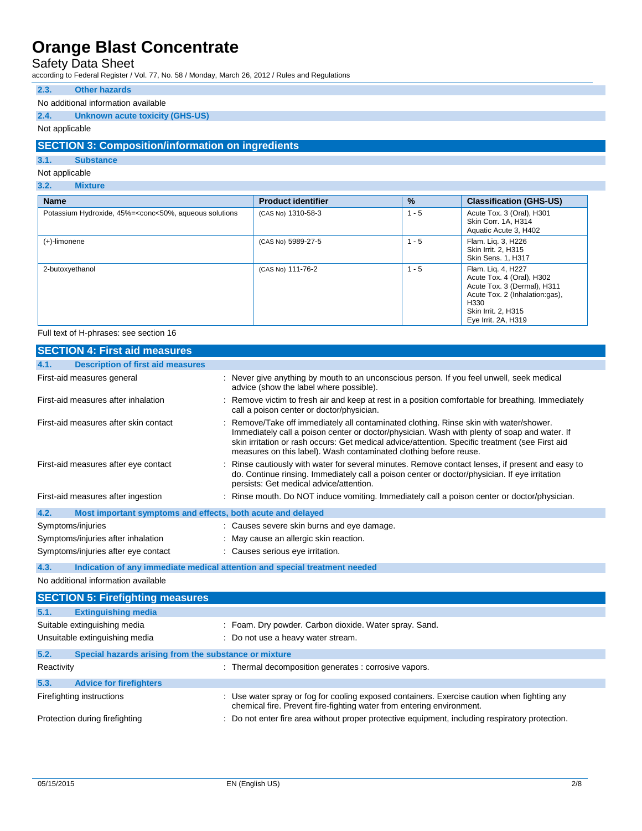### Safety Data Sheet

according to Federal Register / Vol. 77, No. 58 / Monday, March 26, 2012 / Rules and Regulations

#### **2.3. Other hazards**

#### No additional information available

#### **2.4. Unknown acute toxicity (GHS-US)**

#### Not applicable

#### **SECTION 3: Composition/information on ingredients**

#### **3.1. Substance**

#### Not applicable

**3.2. Mixture**

| <b>Name</b>                                                                                                                                                                                                                | <b>Product identifier</b> | $\%$    | <b>Classification (GHS-US)</b>                                                                                                                                         |
|----------------------------------------------------------------------------------------------------------------------------------------------------------------------------------------------------------------------------|---------------------------|---------|------------------------------------------------------------------------------------------------------------------------------------------------------------------------|
| Potassium Hydroxide, 45%= <conc<50%, aqueous="" solutions<="" td=""><td>(CAS No) 1310-58-3</td><td><math>1 - 5</math></td><td>Acute Tox. 3 (Oral), H301<br/>Skin Corr. 1A, H314<br/>Aquatic Acute 3, H402</td></conc<50%,> | (CAS No) 1310-58-3        | $1 - 5$ | Acute Tox. 3 (Oral), H301<br>Skin Corr. 1A, H314<br>Aquatic Acute 3, H402                                                                                              |
| $(+)$ -limonene                                                                                                                                                                                                            | (CAS No) 5989-27-5        | $1 - 5$ | Flam. Lig. 3, H226<br>Skin Irrit. 2. H315<br>Skin Sens. 1, H317                                                                                                        |
| 2-butoxyethanol                                                                                                                                                                                                            | (CAS No) 111-76-2         | $1 - 5$ | Flam. Liq. 4, H227<br>Acute Tox. 4 (Oral), H302<br>Acute Tox. 3 (Dermal), H311<br>Acute Tox. 2 (Inhalation:gas),<br>H330<br>Skin Irrit. 2, H315<br>Eye Irrit. 2A, H319 |

#### Full text of H-phrases: see section 16

| <b>SECTION 4: First aid measures</b>                                |                                                                                                                                                                                                                                                                                                                                                                |
|---------------------------------------------------------------------|----------------------------------------------------------------------------------------------------------------------------------------------------------------------------------------------------------------------------------------------------------------------------------------------------------------------------------------------------------------|
| <b>Description of first aid measures</b><br>4.1.                    |                                                                                                                                                                                                                                                                                                                                                                |
| First-aid measures general                                          | : Never give anything by mouth to an unconscious person. If you feel unwell, seek medical<br>advice (show the label where possible).                                                                                                                                                                                                                           |
| First-aid measures after inhalation                                 | : Remove victim to fresh air and keep at rest in a position comfortable for breathing. Immediately<br>call a poison center or doctor/physician.                                                                                                                                                                                                                |
| First-aid measures after skin contact                               | : Remove/Take off immediately all contaminated clothing. Rinse skin with water/shower.<br>Immediately call a poison center or doctor/physician. Wash with plenty of soap and water. If<br>skin irritation or rash occurs: Get medical advice/attention. Specific treatment (see First aid<br>measures on this label). Wash contaminated clothing before reuse. |
| First-aid measures after eye contact                                | : Rinse cautiously with water for several minutes. Remove contact lenses, if present and easy to<br>do. Continue rinsing. Immediately call a poison center or doctor/physician. If eye irritation<br>persists: Get medical advice/attention.                                                                                                                   |
| First-aid measures after ingestion                                  | : Rinse mouth. Do NOT induce vomiting. Immediately call a poison center or doctor/physician.                                                                                                                                                                                                                                                                   |
| 4.2.<br>Most important symptoms and effects, both acute and delayed |                                                                                                                                                                                                                                                                                                                                                                |
| Symptoms/injuries                                                   | : Causes severe skin burns and eye damage.                                                                                                                                                                                                                                                                                                                     |
| Symptoms/injuries after inhalation                                  | : May cause an allergic skin reaction.                                                                                                                                                                                                                                                                                                                         |
| Symptoms/injuries after eye contact                                 | : Causes serious eye irritation.                                                                                                                                                                                                                                                                                                                               |

#### **4.3. Indication of any immediate medical attention and special treatment needed**

No additional information available

|            | <b>SECTION 5: Firefighting measures</b>               |                                                                                                                                                                      |
|------------|-------------------------------------------------------|----------------------------------------------------------------------------------------------------------------------------------------------------------------------|
| 5.1.       | <b>Extinguishing media</b>                            |                                                                                                                                                                      |
|            | Suitable extinguishing media                          | : Foam. Dry powder. Carbon dioxide. Water spray. Sand.                                                                                                               |
|            | Unsuitable extinguishing media                        | : Do not use a heavy water stream.                                                                                                                                   |
| 5.2.       | Special hazards arising from the substance or mixture |                                                                                                                                                                      |
| Reactivity |                                                       | : Thermal decomposition generates : corrosive vapors.                                                                                                                |
| 5.3.       | <b>Advice for firefighters</b>                        |                                                                                                                                                                      |
|            | Firefighting instructions                             | : Use water spray or fog for cooling exposed containers. Exercise caution when fighting any<br>chemical fire. Prevent fire-fighting water from entering environment. |
|            | Protection during firefighting                        | : Do not enter fire area without proper protective equipment, including respiratory protection.                                                                      |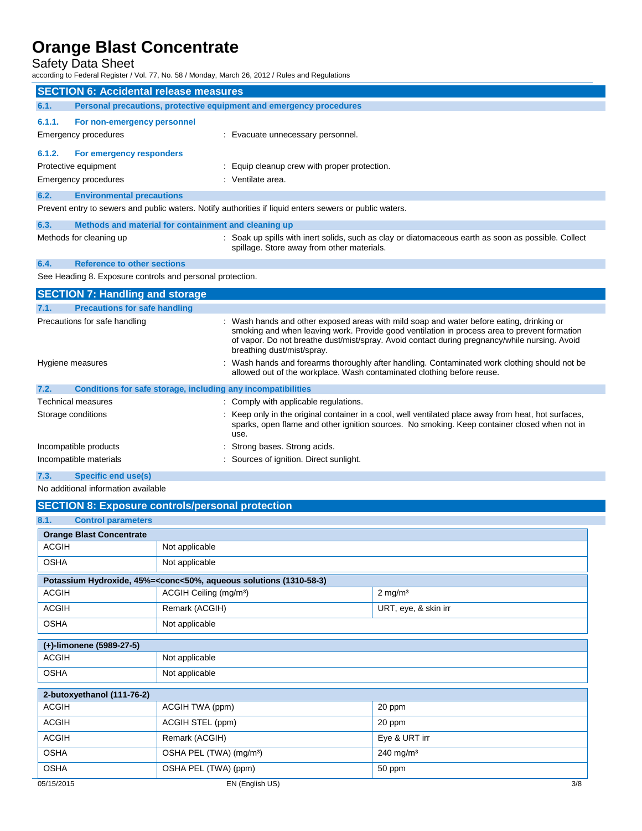### Safety Data Sheet

according to Federal Register / Vol. 77, No. 58 / Monday, March 26, 2012 / Rules and Regulations

|                                               | iccording to Hederal Register / Vol. 77, NO. 36 / Monday, March 26, 2012 / Rules and Regulations        |                                                                                                                                                                                                                                                                                                                       |  |
|-----------------------------------------------|---------------------------------------------------------------------------------------------------------|-----------------------------------------------------------------------------------------------------------------------------------------------------------------------------------------------------------------------------------------------------------------------------------------------------------------------|--|
| <b>SECTION 6: Accidental release measures</b> |                                                                                                         |                                                                                                                                                                                                                                                                                                                       |  |
| 6.1.                                          | Personal precautions, protective equipment and emergency procedures                                     |                                                                                                                                                                                                                                                                                                                       |  |
| 6.1.1.                                        | For non-emergency personnel                                                                             |                                                                                                                                                                                                                                                                                                                       |  |
|                                               | <b>Emergency procedures</b>                                                                             | : Evacuate unnecessary personnel.                                                                                                                                                                                                                                                                                     |  |
| 6.1.2.                                        | For emergency responders                                                                                |                                                                                                                                                                                                                                                                                                                       |  |
|                                               | Protective equipment                                                                                    | : Equip cleanup crew with proper protection.                                                                                                                                                                                                                                                                          |  |
|                                               | Emergency procedures                                                                                    | : Ventilate area.                                                                                                                                                                                                                                                                                                     |  |
| 6.2.                                          | <b>Environmental precautions</b>                                                                        |                                                                                                                                                                                                                                                                                                                       |  |
|                                               | Prevent entry to sewers and public waters. Notify authorities if liquid enters sewers or public waters. |                                                                                                                                                                                                                                                                                                                       |  |
| 6.3.                                          | Methods and material for containment and cleaning up                                                    |                                                                                                                                                                                                                                                                                                                       |  |
|                                               | Methods for cleaning up                                                                                 | : Soak up spills with inert solids, such as clay or diatomaceous earth as soon as possible. Collect<br>spillage. Store away from other materials.                                                                                                                                                                     |  |
| 6.4.                                          | Reference to other sections                                                                             |                                                                                                                                                                                                                                                                                                                       |  |
|                                               | See Heading 8. Exposure controls and personal protection.                                               |                                                                                                                                                                                                                                                                                                                       |  |
|                                               | <b>SECTION 7: Handling and storage</b>                                                                  |                                                                                                                                                                                                                                                                                                                       |  |
| 7.1.                                          | <b>Precautions for safe handling</b>                                                                    |                                                                                                                                                                                                                                                                                                                       |  |
|                                               | Precautions for safe handling                                                                           | Wash hands and other exposed areas with mild soap and water before eating, drinking or<br>smoking and when leaving work. Provide good ventilation in process area to prevent formation<br>of vapor. Do not breathe dust/mist/spray. Avoid contact during pregnancy/while nursing. Avoid<br>breathing dust/mist/spray. |  |
|                                               | Hygiene measures                                                                                        | Wash hands and forearms thoroughly after handling. Contaminated work clothing should not be<br>allowed out of the workplace. Wash contaminated clothing before reuse.                                                                                                                                                 |  |
| 7.2.                                          | Conditions for safe storage, including any incompatibilities                                            |                                                                                                                                                                                                                                                                                                                       |  |
|                                               | Technical measures                                                                                      | : Comply with applicable regulations.                                                                                                                                                                                                                                                                                 |  |
|                                               | Storage conditions                                                                                      | Keep only in the original container in a cool, well ventilated place away from heat, hot surfaces,<br>sparks, open flame and other ignition sources. No smoking. Keep container closed when not in<br>use.                                                                                                            |  |
|                                               | Incompatible products                                                                                   | Strong bases. Strong acids.                                                                                                                                                                                                                                                                                           |  |
|                                               | Incompatible materials<br>Sources of ignition. Direct sunlight.                                         |                                                                                                                                                                                                                                                                                                                       |  |
| 7.3.                                          | <b>Specific end use(s)</b>                                                                              |                                                                                                                                                                                                                                                                                                                       |  |
|                                               |                                                                                                         |                                                                                                                                                                                                                                                                                                                       |  |

| No additional information available |  |
|-------------------------------------|--|
|-------------------------------------|--|

|                                   | <b>SECTION 8: Exposure controls/personal protection</b>                                                           |                       |     |
|-----------------------------------|-------------------------------------------------------------------------------------------------------------------|-----------------------|-----|
| 8.1.<br><b>Control parameters</b> |                                                                                                                   |                       |     |
| <b>Orange Blast Concentrate</b>   |                                                                                                                   |                       |     |
| <b>ACGIH</b>                      | Not applicable                                                                                                    |                       |     |
| <b>OSHA</b>                       | Not applicable                                                                                                    |                       |     |
|                                   | Potassium Hydroxide, 45%= <conc<50%, (1310-58-3)<="" aqueous="" solutions="" td=""><td></td><td></td></conc<50%,> |                       |     |
| <b>ACGIH</b>                      | ACGIH Ceiling (mg/m <sup>3</sup> )                                                                                | $2 \text{ mg/m}^3$    |     |
| <b>ACGIH</b>                      | Remark (ACGIH)                                                                                                    | URT, eye, & skin irr  |     |
| <b>OSHA</b>                       | Not applicable                                                                                                    |                       |     |
| (+)-limonene (5989-27-5)          |                                                                                                                   |                       |     |
| <b>ACGIH</b>                      | Not applicable                                                                                                    |                       |     |
| <b>OSHA</b>                       | Not applicable                                                                                                    |                       |     |
| 2-butoxyethanol (111-76-2)        |                                                                                                                   |                       |     |
| <b>ACGIH</b>                      | ACGIH TWA (ppm)                                                                                                   | 20 ppm                |     |
| <b>ACGIH</b>                      | ACGIH STEL (ppm)                                                                                                  | 20 ppm                |     |
| <b>ACGIH</b>                      | Remark (ACGIH)                                                                                                    | Eye & URT irr         |     |
| <b>OSHA</b>                       | OSHA PEL (TWA) (mg/m <sup>3</sup> )                                                                               | 240 mg/m <sup>3</sup> |     |
| <b>OSHA</b>                       | OSHA PEL (TWA) (ppm)                                                                                              | 50 ppm                |     |
| 05/15/2015                        | EN (English US)                                                                                                   |                       | 3/8 |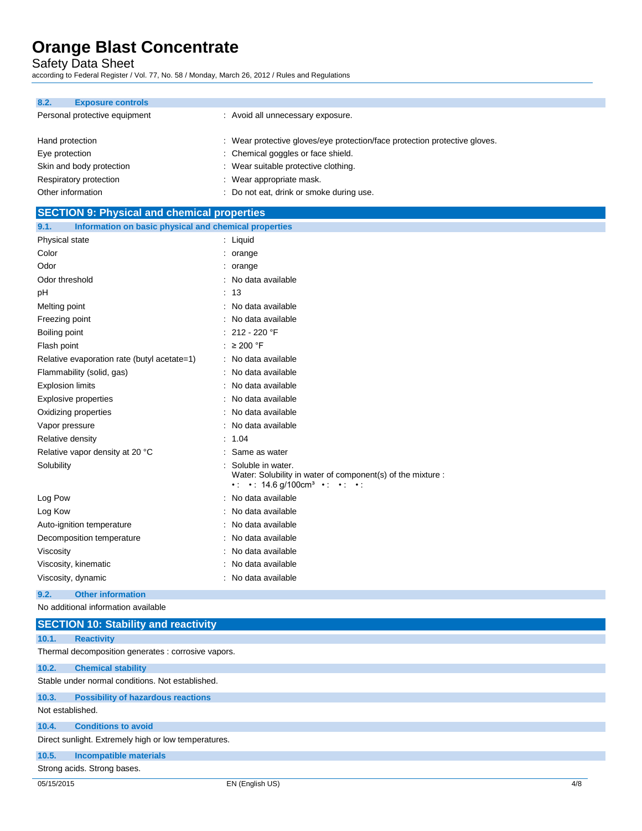Safety Data Sheet

**SECTION 0. Physical** 

according to Federal Register / Vol. 77, No. 58 / Monday, March 26, 2012 / Rules and Regulations

| 8.2.              | <b>Exposure controls</b>      |                                                                            |
|-------------------|-------------------------------|----------------------------------------------------------------------------|
|                   | Personal protective equipment | : Avoid all unnecessary exposure.                                          |
| Hand protection   |                               | : Wear protective gloves/eye protection/face protection protective gloves. |
| Eye protection    |                               | : Chemical goggles or face shield.                                         |
|                   | Skin and body protection      | : Wear suitable protective clothing.                                       |
|                   | Respiratory protection        | : Wear appropriate mask.                                                   |
| Other information |                               | : Do not eat, drink or smoke during use.                                   |

| <b>SECTION 9. FITYSICAL AND CHEMICAL PROPERTIES</b>           |                                                                                                                                                             |
|---------------------------------------------------------------|-------------------------------------------------------------------------------------------------------------------------------------------------------------|
| Information on basic physical and chemical properties<br>9.1. |                                                                                                                                                             |
| Physical state                                                | $:$ Liquid                                                                                                                                                  |
| Color                                                         | $:$ orange                                                                                                                                                  |
| Odor                                                          | $:$ orange                                                                                                                                                  |
| Odor threshold                                                | : No data available                                                                                                                                         |
| рH                                                            | : 13                                                                                                                                                        |
| Melting point                                                 | : No data available                                                                                                                                         |
| Freezing point                                                | No data available                                                                                                                                           |
| Boiling point                                                 | 212 - 220 °F                                                                                                                                                |
| Flash point                                                   | : $\geq 200$ °F                                                                                                                                             |
| Relative evaporation rate (butyl acetate=1)                   | : No data available                                                                                                                                         |
| Flammability (solid, gas)                                     | : No data available                                                                                                                                         |
| <b>Explosion limits</b>                                       | : No data available                                                                                                                                         |
| Explosive properties                                          | No data available                                                                                                                                           |
| Oxidizing properties                                          | : No data available                                                                                                                                         |
| Vapor pressure                                                | : No data available                                                                                                                                         |
| Relative density                                              | : 1.04                                                                                                                                                      |
| Relative vapor density at 20 °C                               | Same as water                                                                                                                                               |
| Solubility                                                    | Soluble in water.<br>Water: Solubility in water of component(s) of the mixture :<br>$\cdot$ : $\cdot$ 14.6 g/100cm <sup>3</sup> $\cdot$ : $\cdot$ : $\cdot$ |
| Log Pow                                                       | No data available                                                                                                                                           |
| Log Kow                                                       | No data available                                                                                                                                           |
| Auto-ignition temperature                                     | : No data available                                                                                                                                         |
| Decomposition temperature                                     | : No data available                                                                                                                                         |
| Viscosity                                                     | : No data available                                                                                                                                         |
| Viscosity, kinematic                                          | : No data available                                                                                                                                         |
| Viscosity, dynamic                                            | : No data available                                                                                                                                         |
| 9.2.<br><b>Other information</b>                              |                                                                                                                                                             |

No additional information available

|                  | <b>SECTION 10: Stability and reactivity</b>          |  |  |
|------------------|------------------------------------------------------|--|--|
| 10.1.            | <b>Reactivity</b>                                    |  |  |
|                  | Thermal decomposition generates : corrosive vapors.  |  |  |
| 10.2.            | <b>Chemical stability</b>                            |  |  |
|                  | Stable under normal conditions. Not established.     |  |  |
| 10.3.            | <b>Possibility of hazardous reactions</b>            |  |  |
| Not established. |                                                      |  |  |
| 10.4.            | <b>Conditions to avoid</b>                           |  |  |
|                  | Direct sunlight. Extremely high or low temperatures. |  |  |
| 10.5.            | <b>Incompatible materials</b>                        |  |  |
|                  | Strong acids. Strong bases.                          |  |  |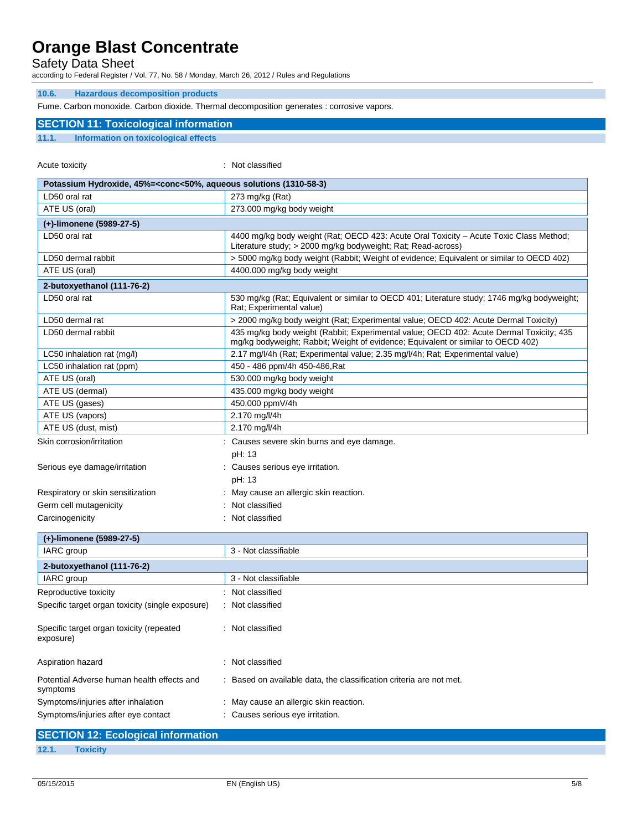Safety Data Sheet

according to Federal Register / Vol. 77, No. 58 / Monday, March 26, 2012 / Rules and Regulations

#### **10.6. Hazardous decomposition products**

Fume. Carbon monoxide. Carbon dioxide. Thermal decomposition generates : corrosive vapors.

### **SECTION 11: Toxicological information**

**11.1. Information on toxicological effects**

Acute toxicity in the contract of the classified in the classified in the classified in the classified in the classified in the classified in the classified in the contract of the contract of the contract of the contract o

| Potassium Hydroxide, 45%= <conc<50%, (1310-58-3)<="" aqueous="" solutions="" th=""><th></th></conc<50%,> |                                                                                                                                                                             |
|----------------------------------------------------------------------------------------------------------|-----------------------------------------------------------------------------------------------------------------------------------------------------------------------------|
| LD50 oral rat                                                                                            | 273 mg/kg $(Rat)$                                                                                                                                                           |
| ATE US (oral)                                                                                            | 273.000 mg/kg body weight                                                                                                                                                   |
| (+)-limonene (5989-27-5)                                                                                 |                                                                                                                                                                             |
| LD50 oral rat                                                                                            | 4400 mg/kg body weight (Rat; OECD 423: Acute Oral Toxicity - Acute Toxic Class Method;<br>Literature study; > 2000 mg/kg bodyweight; Rat; Read-across)                      |
| LD50 dermal rabbit                                                                                       | > 5000 mg/kg body weight (Rabbit; Weight of evidence; Equivalent or similar to OECD 402)                                                                                    |
| ATE US (oral)                                                                                            | 4400.000 mg/kg body weight                                                                                                                                                  |
| 2-butoxyethanol (111-76-2)                                                                               |                                                                                                                                                                             |
| LD50 oral rat                                                                                            | 530 mg/kg (Rat; Equivalent or similar to OECD 401; Literature study; 1746 mg/kg bodyweight;<br>Rat; Experimental value)                                                     |
| LD50 dermal rat                                                                                          | > 2000 mg/kg body weight (Rat; Experimental value; OECD 402: Acute Dermal Toxicity)                                                                                         |
| LD50 dermal rabbit                                                                                       | 435 mg/kg body weight (Rabbit; Experimental value; OECD 402: Acute Dermal Toxicity; 435<br>mg/kg bodyweight; Rabbit; Weight of evidence; Equivalent or similar to OECD 402) |
| LC50 inhalation rat (mg/l)                                                                               | 2.17 mg/l/4h (Rat; Experimental value; 2.35 mg/l/4h; Rat; Experimental value)                                                                                               |
| LC50 inhalation rat (ppm)                                                                                | 450 - 486 ppm/4h 450-486, Rat                                                                                                                                               |
| ATE US (oral)                                                                                            | 530.000 mg/kg body weight                                                                                                                                                   |
| ATE US (dermal)                                                                                          | 435.000 mg/kg body weight                                                                                                                                                   |
| ATE US (gases)                                                                                           | 450.000 ppmV/4h                                                                                                                                                             |
| ATE US (vapors)                                                                                          | 2.170 mg/l/4h                                                                                                                                                               |
| ATE US (dust, mist)                                                                                      | 2.170 mg/l/4h                                                                                                                                                               |
| Skin corrosion/irritation                                                                                | : Causes severe skin burns and eye damage.<br>pH: 13                                                                                                                        |
| Serious eye damage/irritation                                                                            | : Causes serious eye irritation.<br>pH: 13                                                                                                                                  |
| Respiratory or skin sensitization                                                                        | May cause an allergic skin reaction.                                                                                                                                        |
| Germ cell mutagenicity                                                                                   | Not classified                                                                                                                                                              |
| Carcinogenicity                                                                                          | Not classified                                                                                                                                                              |
|                                                                                                          |                                                                                                                                                                             |
| (+)-limonene (5989-27-5)                                                                                 |                                                                                                                                                                             |
| IARC group                                                                                               | 3 - Not classifiable                                                                                                                                                        |
| 2-butoxyethanol (111-76-2)                                                                               |                                                                                                                                                                             |
| IARC group                                                                                               | 3 - Not classifiable                                                                                                                                                        |
| Reproductive toxicity                                                                                    | : Not classified                                                                                                                                                            |
| Specific target organ toxicity (single exposure)                                                         | : Not classified                                                                                                                                                            |
| Specific target organ toxicity (repeated<br>exposure)                                                    | Not classified                                                                                                                                                              |
| Aspiration hazard                                                                                        | : Not classified                                                                                                                                                            |
| Potential Adverse human health effects and<br>symptoms                                                   | Based on available data, the classification criteria are not met.                                                                                                           |
| Symptoms/injuries after inhalation                                                                       | May cause an allergic skin reaction.                                                                                                                                        |
| Symptoms/injuries after eye contact                                                                      | : Causes serious eye irritation.                                                                                                                                            |

| <b>SECTION 12: Ecological information</b> |                 |  |
|-------------------------------------------|-----------------|--|
| 12.1.                                     | <b>Toxicity</b> |  |
|                                           |                 |  |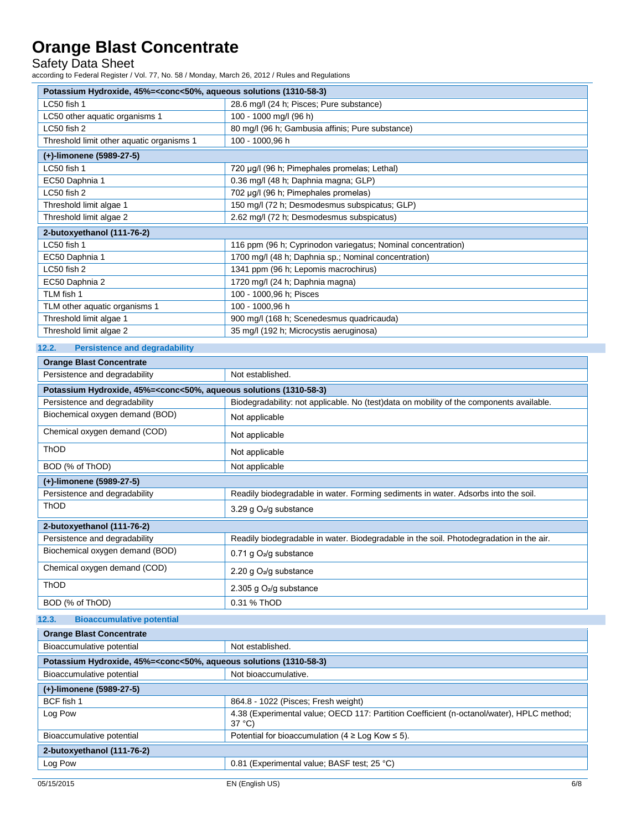Safety Data Sheet

according to Federal Register / Vol. 77, No. 58 / Monday, March 26, 2012 / Rules and Regulations

| Potassium Hydroxide, 45%= <conc<50%, (1310-58-3)<="" aqueous="" solutions="" th=""></conc<50%,> |                                                              |  |  |  |
|-------------------------------------------------------------------------------------------------|--------------------------------------------------------------|--|--|--|
| LC50 fish 1                                                                                     | 28.6 mg/l (24 h; Pisces; Pure substance)                     |  |  |  |
| LC50 other aquatic organisms 1                                                                  | 100 - 1000 mg/l (96 h)                                       |  |  |  |
| LC50 fish 2                                                                                     | 80 mg/l (96 h; Gambusia affinis; Pure substance)             |  |  |  |
| Threshold limit other aquatic organisms 1                                                       | 100 - 1000,96 h                                              |  |  |  |
| (+)-limonene (5989-27-5)                                                                        |                                                              |  |  |  |
| LC50 fish 1                                                                                     | 720 µg/l (96 h; Pimephales promelas; Lethal)                 |  |  |  |
| EC50 Daphnia 1                                                                                  | 0.36 mg/l (48 h; Daphnia magna; GLP)                         |  |  |  |
| LC50 fish 2                                                                                     | 702 µg/l (96 h; Pimephales promelas)                         |  |  |  |
| Threshold limit algae 1                                                                         | 150 mg/l (72 h; Desmodesmus subspicatus; GLP)                |  |  |  |
| Threshold limit algae 2                                                                         | 2.62 mg/l (72 h; Desmodesmus subspicatus)                    |  |  |  |
| 2-butoxyethanol (111-76-2)                                                                      |                                                              |  |  |  |
| LC50 fish 1                                                                                     | 116 ppm (96 h; Cyprinodon variegatus; Nominal concentration) |  |  |  |
| EC50 Daphnia 1                                                                                  | 1700 mg/l (48 h; Daphnia sp.; Nominal concentration)         |  |  |  |
| LC50 fish 2                                                                                     | 1341 ppm (96 h; Lepomis macrochirus)                         |  |  |  |
| EC50 Daphnia 2                                                                                  | 1720 mg/l (24 h; Daphnia magna)                              |  |  |  |
| TLM fish 1                                                                                      | 100 - 1000,96 h; Pisces                                      |  |  |  |
| TLM other aquatic organisms 1                                                                   | 100 - 1000,96 h                                              |  |  |  |
| Threshold limit algae 1                                                                         | 900 mg/l (168 h; Scenedesmus quadricauda)                    |  |  |  |
| Threshold limit algae 2                                                                         | 35 mg/l (192 h; Microcystis aeruginosa)                      |  |  |  |

#### **12.2. Persistence and degradability**

| <b>Orange Blast Concentrate</b>                                                                 |                                                                                          |  |  |  |
|-------------------------------------------------------------------------------------------------|------------------------------------------------------------------------------------------|--|--|--|
| Persistence and degradability                                                                   | Not established.                                                                         |  |  |  |
| Potassium Hydroxide, 45%= <conc<50%, (1310-58-3)<="" aqueous="" solutions="" td=""></conc<50%,> |                                                                                          |  |  |  |
| Persistence and degradability                                                                   | Biodegradability: not applicable. No (test)data on mobility of the components available. |  |  |  |
| Biochemical oxygen demand (BOD)                                                                 | Not applicable                                                                           |  |  |  |
| Chemical oxygen demand (COD)                                                                    | Not applicable                                                                           |  |  |  |
| <b>ThOD</b>                                                                                     | Not applicable                                                                           |  |  |  |
| BOD (% of ThOD)                                                                                 | Not applicable                                                                           |  |  |  |
| (+)-limonene (5989-27-5)                                                                        |                                                                                          |  |  |  |
| Persistence and degradability                                                                   | Readily biodegradable in water. Forming sediments in water. Adsorbs into the soil.       |  |  |  |
| <b>ThOD</b>                                                                                     | 3.29 g O <sub>2</sub> /g substance                                                       |  |  |  |
| 2-butoxyethanol (111-76-2)                                                                      |                                                                                          |  |  |  |
| Persistence and degradability                                                                   | Readily biodegradable in water. Biodegradable in the soil. Photodegradation in the air.  |  |  |  |
| Biochemical oxygen demand (BOD)                                                                 | 0.71 g $O_2$ /g substance                                                                |  |  |  |
| Chemical oxygen demand (COD)                                                                    | 2.20 g $O_2$ /g substance                                                                |  |  |  |
| ThOD                                                                                            | 2.305 g $O2/g$ substance                                                                 |  |  |  |
| BOD (% of ThOD)                                                                                 | 0.31 % ThOD                                                                              |  |  |  |

### **12.3. Bioaccumulative potential**

| <b>Orange Blast Concentrate</b>                                                                 |                                                                                                              |  |  |  |
|-------------------------------------------------------------------------------------------------|--------------------------------------------------------------------------------------------------------------|--|--|--|
| Bioaccumulative potential                                                                       | Not established.                                                                                             |  |  |  |
| Potassium Hydroxide, 45%= <conc<50%, (1310-58-3)<="" aqueous="" solutions="" th=""></conc<50%,> |                                                                                                              |  |  |  |
| Bioaccumulative potential                                                                       | Not bioaccumulative.                                                                                         |  |  |  |
| (+)-limonene (5989-27-5)                                                                        |                                                                                                              |  |  |  |
| BCF fish 1                                                                                      | 864.8 - 1022 (Pisces; Fresh weight)                                                                          |  |  |  |
| Log Pow                                                                                         | 4.38 (Experimental value; OECD 117: Partition Coefficient (n-octanol/water), HPLC method;<br>$37^{\circ}$ C) |  |  |  |
| Bioaccumulative potential                                                                       | Potential for bioaccumulation ( $4 \geq$ Log Kow $\leq$ 5).                                                  |  |  |  |
| 2-butoxyethanol (111-76-2)                                                                      |                                                                                                              |  |  |  |
| Log Pow                                                                                         | 0.81 (Experimental value; BASF test; 25 °C)                                                                  |  |  |  |
|                                                                                                 |                                                                                                              |  |  |  |

٦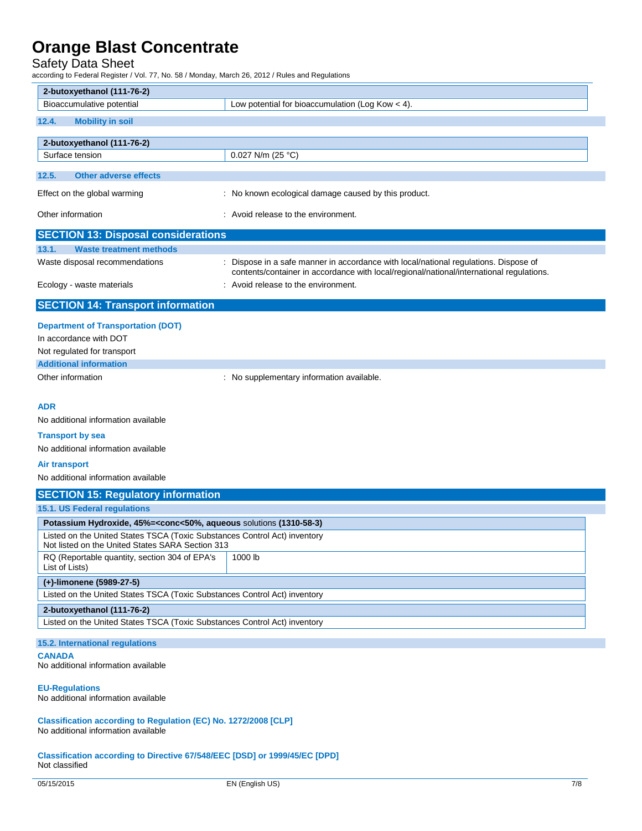Safety Data Sheet

according to Federal Register / Vol. 77, No. 58 / Monday, March 26, 2012 / Rules and Regulations

| 2-butoxyethanol (111-76-2)                                                                                                                                                                                                      |                                                                                                                                                                                  |  |  |  |  |
|---------------------------------------------------------------------------------------------------------------------------------------------------------------------------------------------------------------------------------|----------------------------------------------------------------------------------------------------------------------------------------------------------------------------------|--|--|--|--|
| Bioaccumulative potential                                                                                                                                                                                                       | Low potential for bioaccumulation (Log Kow $<$ 4).                                                                                                                               |  |  |  |  |
| 12.4.<br><b>Mobility in soil</b>                                                                                                                                                                                                |                                                                                                                                                                                  |  |  |  |  |
| 2-butoxyethanol (111-76-2)                                                                                                                                                                                                      |                                                                                                                                                                                  |  |  |  |  |
| Surface tension                                                                                                                                                                                                                 | 0.027 N/m (25 °C)                                                                                                                                                                |  |  |  |  |
| 12.5.<br><b>Other adverse effects</b>                                                                                                                                                                                           |                                                                                                                                                                                  |  |  |  |  |
| Effect on the global warming                                                                                                                                                                                                    | : No known ecological damage caused by this product.                                                                                                                             |  |  |  |  |
| Other information                                                                                                                                                                                                               | : Avoid release to the environment.                                                                                                                                              |  |  |  |  |
| <b>SECTION 13: Disposal considerations</b>                                                                                                                                                                                      |                                                                                                                                                                                  |  |  |  |  |
| 13.1.<br><b>Waste treatment methods</b>                                                                                                                                                                                         |                                                                                                                                                                                  |  |  |  |  |
| Waste disposal recommendations                                                                                                                                                                                                  | : Dispose in a safe manner in accordance with local/national regulations. Dispose of<br>contents/container in accordance with local/regional/national/international regulations. |  |  |  |  |
| Ecology - waste materials                                                                                                                                                                                                       | : Avoid release to the environment.                                                                                                                                              |  |  |  |  |
| <b>SECTION 14: Transport information</b>                                                                                                                                                                                        |                                                                                                                                                                                  |  |  |  |  |
| <b>Department of Transportation (DOT)</b><br>In accordance with DOT<br>Not regulated for transport                                                                                                                              |                                                                                                                                                                                  |  |  |  |  |
| <b>Additional information</b>                                                                                                                                                                                                   |                                                                                                                                                                                  |  |  |  |  |
| Other information                                                                                                                                                                                                               | : No supplementary information available.                                                                                                                                        |  |  |  |  |
| <b>ADR</b><br>No additional information available<br><b>Transport by sea</b><br>No additional information available<br><b>Air transport</b><br>No additional information available<br><b>SECTION 15: Regulatory information</b> |                                                                                                                                                                                  |  |  |  |  |
| 15.1. US Federal regulations                                                                                                                                                                                                    |                                                                                                                                                                                  |  |  |  |  |
| Potassium Hydroxide, 45%= <conc<50%, (1310-58-3)<="" aqueous="" solutions="" td=""><td></td></conc<50%,>                                                                                                                        |                                                                                                                                                                                  |  |  |  |  |
| Listed on the United States TSCA (Toxic Substances Control Act) inventory<br>Not listed on the United States SARA Section 313                                                                                                   |                                                                                                                                                                                  |  |  |  |  |
| RQ (Reportable quantity, section 304 of EPA's<br>List of Lists)                                                                                                                                                                 | 1000 lb                                                                                                                                                                          |  |  |  |  |
| (+)-limonene (5989-27-5)                                                                                                                                                                                                        |                                                                                                                                                                                  |  |  |  |  |
| Listed on the United States TSCA (Toxic Substances Control Act) inventory                                                                                                                                                       |                                                                                                                                                                                  |  |  |  |  |
| 2-butoxyethanol (111-76-2)                                                                                                                                                                                                      |                                                                                                                                                                                  |  |  |  |  |
| Listed on the United States TSCA (Toxic Substances Control Act) inventory                                                                                                                                                       |                                                                                                                                                                                  |  |  |  |  |
| 15.2. International regulations                                                                                                                                                                                                 |                                                                                                                                                                                  |  |  |  |  |
| <b>CANADA</b><br>No additional information available                                                                                                                                                                            |                                                                                                                                                                                  |  |  |  |  |
| <b>EU-Regulations</b><br>No additional information available                                                                                                                                                                    |                                                                                                                                                                                  |  |  |  |  |

**Classification according to Regulation (EC) No. 1272/2008 [CLP]** No additional information available

**Classification according to Directive 67/548/EEC [DSD] or 1999/45/EC [DPD]** Not classified